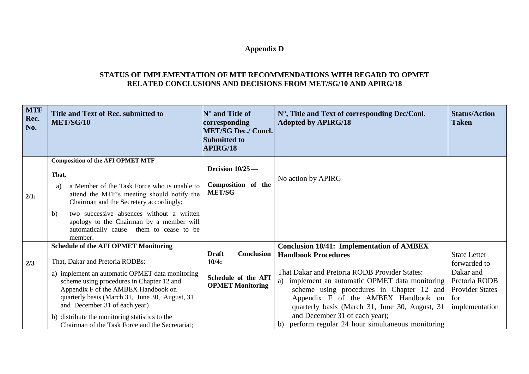## **Appendix D**

## **STATUS OF IMPLEMENTATION OF MTF RECOMMENDATIONS WITH REGARD TO OPMET RELATED CONCLUSIONS AND DECISIONS FROM MET/SG/10 AND APIRG/18**

| <b>MTF</b><br>Rec.<br>No. | Title and Text of Rec. submitted to<br><b>MET/SG/10</b>                                                                                                                                                                                                                                                                                                                                                       | $\mathbb{N}^{\circ}$ and Title of<br>corresponding<br><b>MET/SG Dec./ Concl.</b><br><b>Submitted to</b><br>APIRG/18 | $N^{\circ}$ , Title and Text of corresponding Dec/Conl.<br><b>Adopted by APIRG/18</b>                                                                                                                                                                                                                                                                                                                               | <b>Status/Action</b><br><b>Taken</b>                                                                                 |
|---------------------------|---------------------------------------------------------------------------------------------------------------------------------------------------------------------------------------------------------------------------------------------------------------------------------------------------------------------------------------------------------------------------------------------------------------|---------------------------------------------------------------------------------------------------------------------|---------------------------------------------------------------------------------------------------------------------------------------------------------------------------------------------------------------------------------------------------------------------------------------------------------------------------------------------------------------------------------------------------------------------|----------------------------------------------------------------------------------------------------------------------|
| 2/1:                      | <b>Composition of the AFI OPMET MTF</b><br>That,<br>a Member of the Task Force who is unable to<br>a)<br>attend the MTF's meeting should notify the<br>Chairman and the Secretary accordingly;<br>two successive absences without a written<br>$\mathbf{b}$<br>apology to the Chairman by a member will<br>automatically cause them to cease to be<br>member.                                                 | Decision 10/25-<br>Composition of the<br><b>MET/SG</b>                                                              | No action by APIRG                                                                                                                                                                                                                                                                                                                                                                                                  |                                                                                                                      |
| 2/3                       | <b>Schedule of the AFI OPMET Monitoring</b><br>That, Dakar and Pretoria RODBs:<br>a) implement an automatic OPMET data monitoring<br>scheme using procedures in Chapter 12 and<br>Appendix F of the AMBEX Handbook on<br>quarterly basis (March 31, June 30, August, 31<br>and December 31 of each year)<br>b) distribute the monitoring statistics to the<br>Chairman of the Task Force and the Secretariat; | <b>Conclusion</b><br><b>Draft</b><br>10/4:<br>Schedule of the AFI<br><b>OPMET Monitoring</b>                        | <b>Conclusion 18/41: Implementation of AMBEX</b><br><b>Handbook Procedures</b><br>That Dakar and Pretoria RODB Provider States:<br>a) implement an automatic OPMET data monitoring<br>scheme using procedures in Chapter 12 and<br>Appendix F of the AMBEX Handbook on<br>quarterly basis (March 31, June 30, August, 31<br>and December 31 of each year);<br>perform regular 24 hour simultaneous monitoring<br>b) | <b>State Letter</b><br>forwarded to<br>Dakar and<br>Pretoria RODB<br><b>Provider States</b><br>for<br>implementation |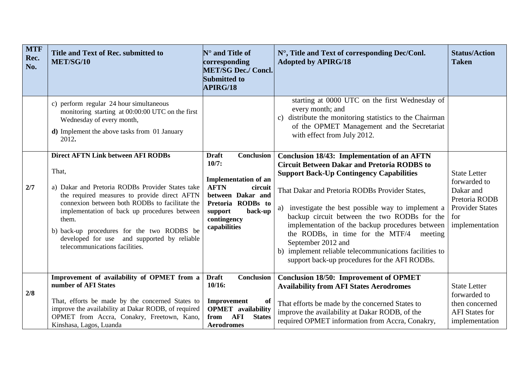| <b>MTF</b><br>Rec.<br>No. | Title and Text of Rec. submitted to<br>MET/SG/10                                                                                                                                                                                                                                                                                                                                                 | $\mathbf{N}^\circ$ and Title of<br>corresponding<br><b>MET/SG Dec./ Concl.</b><br><b>Submitted to</b><br><b>APIRG/18</b>                                                                    | N°, Title and Text of corresponding Dec/Conl.<br><b>Adopted by APIRG/18</b>                                                                                                                                                                                                                                                                                                                                                                                                                                                                             | <b>Status/Action</b><br><b>Taken</b>                                                                                 |
|---------------------------|--------------------------------------------------------------------------------------------------------------------------------------------------------------------------------------------------------------------------------------------------------------------------------------------------------------------------------------------------------------------------------------------------|---------------------------------------------------------------------------------------------------------------------------------------------------------------------------------------------|---------------------------------------------------------------------------------------------------------------------------------------------------------------------------------------------------------------------------------------------------------------------------------------------------------------------------------------------------------------------------------------------------------------------------------------------------------------------------------------------------------------------------------------------------------|----------------------------------------------------------------------------------------------------------------------|
|                           | c) perform regular 24 hour simultaneous<br>monitoring starting at 00:00:00 UTC on the first<br>Wednesday of every month,<br>d) Implement the above tasks from 01 January<br>2012.                                                                                                                                                                                                                |                                                                                                                                                                                             | starting at 0000 UTC on the first Wednesday of<br>every month; and<br>c) distribute the monitoring statistics to the Chairman<br>of the OPMET Management and the Secretariat<br>with effect from July 2012.                                                                                                                                                                                                                                                                                                                                             |                                                                                                                      |
| 2/7                       | <b>Direct AFTN Link between AFI RODBs</b><br>That,<br>a) Dakar and Pretoria RODBs Provider States take<br>the required measures to provide direct AFTN<br>connexion between both RODBs to facilitate the<br>implementation of back up procedures between<br>them.<br>b) back-up procedures for the two RODBS be<br>developed for use and supported by reliable<br>telecommunications facilities. | Conclusion<br><b>Draft</b><br>10/7:<br><b>Implementation of an</b><br><b>AFTN</b><br>circuit<br>between Dakar and<br>Pretoria RODBs to<br>back-up<br>support<br>contingency<br>capabilities | <b>Conclusion 18/43: Implementation of an AFTN</b><br><b>Circuit Between Dakar and Pretoria RODBS to</b><br><b>Support Back-Up Contingency Capabilities</b><br>That Dakar and Pretoria RODBs Provider States,<br>a) investigate the best possible way to implement a<br>backup circuit between the two RODBs for the<br>implementation of the backup procedures between<br>the RODBs, in time for the MTF/4<br>meeting<br>September 2012 and<br>b) implement reliable telecommunications facilities to<br>support back-up procedures for the AFI RODBs. | <b>State Letter</b><br>forwarded to<br>Dakar and<br>Pretoria RODB<br><b>Provider States</b><br>for<br>implementation |
| 2/8                       | Improvement of availability of OPMET from a<br>number of AFI States<br>That, efforts be made by the concerned States to<br>improve the availability at Dakar RODB, of required<br>OPMET from Accra, Conakry, Freetown, Kano,<br>Kinshasa, Lagos, Luanda                                                                                                                                          | <b>Conclusion</b><br><b>Draft</b><br>10/16:<br>Improvement<br>of<br><b>OPMET</b> availability<br>AFI<br><b>States</b><br>from<br><b>Aerodromes</b>                                          | <b>Conclusion 18/50: Improvement of OPMET</b><br><b>Availability from AFI States Aerodromes</b><br>That efforts be made by the concerned States to<br>improve the availability at Dakar RODB, of the<br>required OPMET information from Accra, Conakry,                                                                                                                                                                                                                                                                                                 | <b>State Letter</b><br>forwarded to<br>then concerned<br><b>AFI</b> States for<br>implementation                     |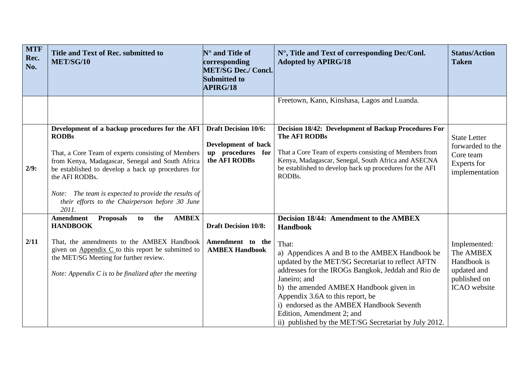| <b>MTF</b><br>Rec.<br>No. | Title and Text of Rec. submitted to<br>MET/SG/10                                                                                                                                                                                                                                                                                                                     | $N^{\circ}$ and Title of<br>corresponding<br><b>MET/SG Dec./ Concl.</b><br><b>Submitted to</b><br><b>APIRG/18</b> | N°, Title and Text of corresponding Dec/Conl.<br><b>Adopted by APIRG/18</b>                                                                                                                                                                                                                                                                                                                                                                                      | <b>Status/Action</b><br><b>Taken</b>                                                    |
|---------------------------|----------------------------------------------------------------------------------------------------------------------------------------------------------------------------------------------------------------------------------------------------------------------------------------------------------------------------------------------------------------------|-------------------------------------------------------------------------------------------------------------------|------------------------------------------------------------------------------------------------------------------------------------------------------------------------------------------------------------------------------------------------------------------------------------------------------------------------------------------------------------------------------------------------------------------------------------------------------------------|-----------------------------------------------------------------------------------------|
|                           |                                                                                                                                                                                                                                                                                                                                                                      |                                                                                                                   | Freetown, Kano, Kinshasa, Lagos and Luanda.                                                                                                                                                                                                                                                                                                                                                                                                                      |                                                                                         |
| 2/9:                      | Development of a backup procedures for the AFI<br><b>RODBs</b><br>That, a Core Team of experts consisting of Members<br>from Kenya, Madagascar, Senegal and South Africa<br>be established to develop a back up procedures for<br>the AFI RODBs.<br>Note: The team is expected to provide the results of<br>their efforts to the Chairperson before 30 June<br>2011. | <b>Draft Decision 10/6:</b><br>Development of back<br>up procedures for<br>the AFI RODBs                          | Decision 18/42: Development of Backup Procedures For<br>The AFI RODBs<br>That a Core Team of experts consisting of Members from<br>Kenya, Madagascar, Senegal, South Africa and ASECNA<br>be established to develop back up procedures for the AFI<br>RODBs.                                                                                                                                                                                                     | <b>State Letter</b><br>forwarded to the<br>Core team<br>Experts for<br>implementation   |
| 2/11                      | <b>AMBEX</b><br><b>Amendment</b><br><b>Proposals</b><br>the<br>to<br><b>HANDBOOK</b><br>That, the amendments to the AMBEX Handbook<br>given on Appendix $C$ to this report be submitted to<br>the MET/SG Meeting for further review.<br>Note: Appendix $C$ is to be finalized after the meeting                                                                      | <b>Draft Decision 10/8:</b><br>Amendment to the<br><b>AMBEX Handbook</b>                                          | Decision 18/44: Amendment to the AMBEX<br><b>Handbook</b><br>That:<br>a) Appendices A and B to the AMBEX Handbook be<br>updated by the MET/SG Secretariat to reflect AFTN<br>addresses for the IROGs Bangkok, Jeddah and Rio de<br>Janeiro; and<br>b) the amended AMBEX Handbook given in<br>Appendix 3.6A to this report, be<br>i) endorsed as the AMBEX Handbook Seventh<br>Edition, Amendment 2; and<br>ii) published by the MET/SG Secretariat by July 2012. | Implemented:<br>The AMBEX<br>Handbook is<br>updated and<br>published on<br>ICAO website |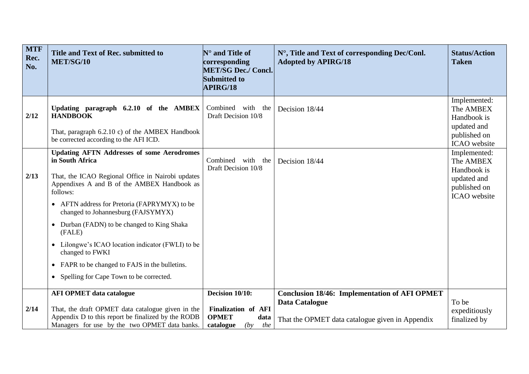| <b>MTF</b><br>Rec.<br>No. | Title and Text of Rec. submitted to<br>MET/SG/10                                                                                                                                                                                                                                                                                                                                                                                                                                                                    | $N^{\circ}$ and Title of<br>corresponding<br><b>MET/SG Dec./ Concl.</b><br><b>Submitted to</b><br><b>APIRG/18</b> | N°, Title and Text of corresponding Dec/Conl.<br><b>Adopted by APIRG/18</b>                                               | <b>Status/Action</b><br><b>Taken</b>                                                    |
|---------------------------|---------------------------------------------------------------------------------------------------------------------------------------------------------------------------------------------------------------------------------------------------------------------------------------------------------------------------------------------------------------------------------------------------------------------------------------------------------------------------------------------------------------------|-------------------------------------------------------------------------------------------------------------------|---------------------------------------------------------------------------------------------------------------------------|-----------------------------------------------------------------------------------------|
| 2/12                      | Updating paragraph 6.2.10 of the AMBEX<br><b>HANDBOOK</b><br>That, paragraph 6.2.10 c) of the AMBEX Handbook<br>be corrected according to the AFI ICD.                                                                                                                                                                                                                                                                                                                                                              | Combined with<br>the<br>Draft Decision 10/8                                                                       | Decision 18/44                                                                                                            | Implemented:<br>The AMBEX<br>Handbook is<br>updated and<br>published on<br>ICAO website |
| 2/13                      | <b>Updating AFTN Addresses of some Aerodromes</b><br>in South Africa<br>That, the ICAO Regional Office in Nairobi updates<br>Appendixes A and B of the AMBEX Handbook as<br>follows:<br>• AFTN address for Pretoria (FAPRYMYX) to be<br>changed to Johannesburg (FAJSYMYX)<br>Durban (FADN) to be changed to King Shaka<br>$\bullet$<br>(FALE)<br>Lilongwe's ICAO location indicator (FWLI) to be<br>changed to FWKI<br>• FAPR to be changed to FAJS in the bulletins.<br>• Spelling for Cape Town to be corrected. | Combined<br>with<br>the<br>Draft Decision 10/8                                                                    | Decision 18/44                                                                                                            | Implemented:<br>The AMBEX<br>Handbook is<br>updated and<br>published on<br>ICAO website |
| 2/14                      | <b>AFI OPMET data catalogue</b><br>That, the draft OPMET data catalogue given in the<br>Appendix D to this report be finalized by the RODB<br>Managers for use by the two OPMET data banks.                                                                                                                                                                                                                                                                                                                         | Decision 10/10:<br><b>Finalization of AFI</b><br><b>OPMET</b><br>data<br>catalogue<br>(by<br>the                  | <b>Conclusion 18/46: Implementation of AFI OPMET</b><br>Data Catalogue<br>That the OPMET data catalogue given in Appendix | To be<br>expeditiously<br>finalized by                                                  |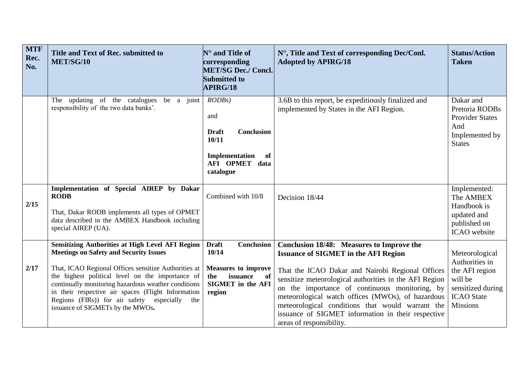| <b>MTF</b><br>Rec.<br>No. | Title and Text of Rec. submitted to<br>MET/SG/10                                                                                                                                                                                                                                                                                                                                                                          | $N^{\circ}$ and Title of<br>corresponding<br><b>MET/SG Dec./ Concl.</b><br><b>Submitted to</b><br><b>APIRG/18</b>                       | N°, Title and Text of corresponding Dec/Conl.<br><b>Adopted by APIRG/18</b>                                                                                                                                                                                                                                                                                                                                                                         | <b>Status/Action</b><br><b>Taken</b>                                                                                       |
|---------------------------|---------------------------------------------------------------------------------------------------------------------------------------------------------------------------------------------------------------------------------------------------------------------------------------------------------------------------------------------------------------------------------------------------------------------------|-----------------------------------------------------------------------------------------------------------------------------------------|-----------------------------------------------------------------------------------------------------------------------------------------------------------------------------------------------------------------------------------------------------------------------------------------------------------------------------------------------------------------------------------------------------------------------------------------------------|----------------------------------------------------------------------------------------------------------------------------|
|                           | The updating of the catalogues<br>be a joint<br>responsibility of the two data banks'.                                                                                                                                                                                                                                                                                                                                    | RODBs<br>and<br>Conclusion<br><b>Draft</b><br>10/11<br>Implementation<br>of<br>AFI OPMET data<br>catalogue                              | 3.6B to this report, be expeditiously finalized and<br>implemented by States in the AFI Region.                                                                                                                                                                                                                                                                                                                                                     | Dakar and<br>Pretoria RODBs<br><b>Provider States</b><br>And<br>Implemented by<br><b>States</b>                            |
| 2/15                      | Implementation of Special AIREP by Dakar<br><b>RODB</b><br>That, Dakar RODB implements all types of OPMET<br>data described in the AMBEX Handbook including<br>special AIREP (UA).                                                                                                                                                                                                                                        | Combined with 10/8                                                                                                                      | Decision 18/44                                                                                                                                                                                                                                                                                                                                                                                                                                      | Implemented:<br>The AMBEX<br>Handbook is<br>updated and<br>published on<br>ICAO website                                    |
| 2/17                      | <b>Sensitizing Authorities at High Level AFI Region</b><br><b>Meetings on Safety and Security Issues</b><br>That, ICAO Regional Offices sensitize Authorities at<br>the highest political level on the importance of<br>continually monitoring hazardous weather conditions<br>in their respective air spaces (Flight Information<br>Regions (FIRs)) for air safety especially<br>the<br>issuance of SIGMETs by the MWOs. | <b>Draft</b><br><b>Conclusion</b><br>10/14<br><b>Measures to improve</b><br>issuance<br>the<br>of<br><b>SIGMET</b> in the AFI<br>region | Conclusion 18/48: Measures to Improve the<br><b>Issuance of SIGMET in the AFI Region</b><br>That the ICAO Dakar and Nairobi Regional Offices<br>sensitize meteorological authorities in the AFI Region<br>on the importance of continuous monitoring, by<br>meteorological watch offices (MWOs), of hazardous<br>meteorological conditions that would warrant the<br>issuance of SIGMET information in their respective<br>areas of responsibility. | Meteorological<br>Authorities in<br>the AFI region<br>will be<br>sensitized during<br><b>ICAO</b> State<br><b>Missions</b> |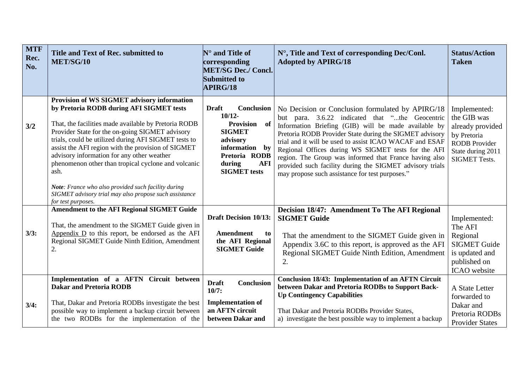| <b>MTF</b><br>Rec.<br>No. | Title and Text of Rec. submitted to<br>MET/SG/10                                                                                                                                                                                                                                                                                                                                                                              | $N^{\circ}$ and Title of<br>corresponding<br><b>MET/SG Dec./ Concl.</b><br><b>Submitted to</b><br><b>APIRG/18</b>                                               | N°, Title and Text of corresponding Dec/Conl.<br><b>Adopted by APIRG/18</b>                                                                                                                                                                                                                                                                                                                                                                                                                                       | <b>Status/Action</b><br><b>Taken</b>                                                                                                |
|---------------------------|-------------------------------------------------------------------------------------------------------------------------------------------------------------------------------------------------------------------------------------------------------------------------------------------------------------------------------------------------------------------------------------------------------------------------------|-----------------------------------------------------------------------------------------------------------------------------------------------------------------|-------------------------------------------------------------------------------------------------------------------------------------------------------------------------------------------------------------------------------------------------------------------------------------------------------------------------------------------------------------------------------------------------------------------------------------------------------------------------------------------------------------------|-------------------------------------------------------------------------------------------------------------------------------------|
| 3/2                       | Provision of WS SIGMET advisory information<br>by Pretoria RODB during AFI SIGMET tests<br>That, the facilities made available by Pretoria RODB<br>Provider State for the on-going SIGMET advisory<br>trials, could be utilized during AFI SIGMET tests to<br>assist the AFI region with the provision of SIGMET<br>advisory information for any other weather<br>phenomenon other than tropical cyclone and volcanic<br>ash. | <b>Draft</b><br>Conclusion<br>$10/12 -$<br>Provision of<br><b>SIGMET</b><br>advisory<br>information by<br>Pretoria RODB<br>during<br>AFI<br><b>SIGMET</b> tests | No Decision or Conclusion formulated by APIRG/18<br>but para. 3.6.22 indicated that "the Geocentric<br>Information Briefing (GIB) will be made available by<br>Pretoria RODB Provider State during the SIGMET advisory<br>trial and it will be used to assist ICAO WACAF and ESAF<br>Regional Offices during WS SIGMET tests for the AFI<br>region. The Group was informed that France having also<br>provided such facility during the SIGMET advisory trials<br>may propose such assistance for test purposes." | Implemented:<br>the GIB was<br>already provided<br>by Pretoria<br><b>RODB</b> Provider<br>State during 2011<br><b>SIGMET Tests.</b> |
|                           | Note: France who also provided such facility during<br>SIGMET advisory trial may also propose such assistance<br>for test purposes.                                                                                                                                                                                                                                                                                           |                                                                                                                                                                 |                                                                                                                                                                                                                                                                                                                                                                                                                                                                                                                   |                                                                                                                                     |
| 3/3:                      | <b>Amendment to the AFI Regional SIGMET Guide</b><br>That, the amendment to the SIGMET Guide given in<br>Appendix $\overline{D}$ to this report, be endorsed as the AFI<br>Regional SIGMET Guide Ninth Edition, Amendment<br>$\overline{2}$                                                                                                                                                                                   | <b>Draft Decision 10/13:</b><br>Amendment<br>to<br>the AFI Regional<br><b>SIGMET Guide</b>                                                                      | Decision 18/47: Amendment To The AFI Regional<br><b>SIGMET Guide</b><br>That the amendment to the SIGMET Guide given in<br>Appendix 3.6C to this report, is approved as the AFI<br>Regional SIGMET Guide Ninth Edition, Amendment<br>2.                                                                                                                                                                                                                                                                           | Implemented:<br>The AFI<br>Regional<br><b>SIGMET Guide</b><br>is updated and<br>published on<br>ICAO website                        |
| 3/4:                      | Implementation of a AFTN Circuit between<br><b>Dakar and Pretoria RODB</b><br>That, Dakar and Pretoria RODBs investigate the best<br>possible way to implement a backup circuit between<br>the two RODBs for the implementation of the                                                                                                                                                                                        | <b>Draft</b><br><b>Conclusion</b><br>10/7:<br><b>Implementation of</b><br>an AFTN circuit<br>between Dakar and                                                  | <b>Conclusion 18/43: Implementation of an AFTN Circuit</b><br>between Dakar and Pretoria RODBs to Support Back-<br><b>Up Contingency Capabilities</b><br>That Dakar and Pretoria RODBs Provider States,<br>a) investigate the best possible way to implement a backup                                                                                                                                                                                                                                             | A State Letter<br>forwarded to<br>Dakar and<br>Pretoria RODBs<br><b>Provider States</b>                                             |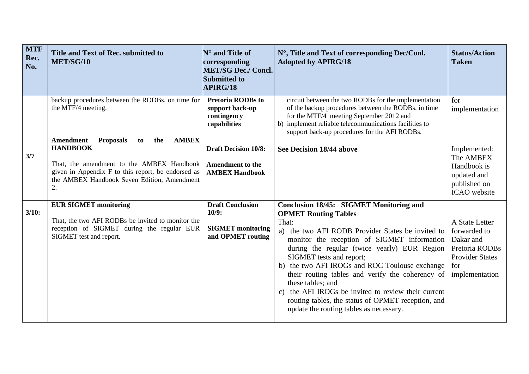| <b>MTF</b><br>Rec.<br>No. | Title and Text of Rec. submitted to<br>MET/SG/10                                                                                                                                                                                             | $N^{\circ}$ and Title of<br>corresponding<br><b>MET/SG Dec./ Concl.</b><br><b>Submitted to</b><br><b>APIRG/18</b> | N°, Title and Text of corresponding Dec/Conl.<br><b>Adopted by APIRG/18</b>                                                                                                                                                                                                                                                                                                                                                                                                                                                                        | <b>Status/Action</b><br><b>Taken</b>                                                                             |
|---------------------------|----------------------------------------------------------------------------------------------------------------------------------------------------------------------------------------------------------------------------------------------|-------------------------------------------------------------------------------------------------------------------|----------------------------------------------------------------------------------------------------------------------------------------------------------------------------------------------------------------------------------------------------------------------------------------------------------------------------------------------------------------------------------------------------------------------------------------------------------------------------------------------------------------------------------------------------|------------------------------------------------------------------------------------------------------------------|
|                           | backup procedures between the RODBs, on time for<br>the MTF/4 meeting.                                                                                                                                                                       | <b>Pretoria RODBs to</b><br>support back-up<br>contingency<br>capabilities                                        | circuit between the two RODBs for the implementation<br>of the backup procedures between the RODBs, in time<br>for the MTF/4 meeting September 2012 and<br>b) implement reliable telecommunications facilities to<br>support back-up procedures for the AFI RODBs.                                                                                                                                                                                                                                                                                 | for<br>implementation                                                                                            |
| 3/7                       | <b>Amendment</b><br><b>Proposals</b><br><b>AMBEX</b><br>to<br>the<br><b>HANDBOOK</b><br>That, the amendment to the AMBEX Handbook<br>given in Appendix F to this report, be endorsed as<br>the AMBEX Handbook Seven Edition, Amendment<br>2. | <b>Draft Decision 10/8:</b><br><b>Amendment to the</b><br><b>AMBEX Handbook</b>                                   | See Decision 18/44 above                                                                                                                                                                                                                                                                                                                                                                                                                                                                                                                           | Implemented:<br>The AMBEX<br>Handbook is<br>updated and<br>published on<br>ICAO website                          |
| 3/10:                     | <b>EUR SIGMET monitoring</b><br>That, the two AFI RODBs be invited to monitor the<br>reception of SIGMET during the regular EUR<br>SIGMET test and report.                                                                                   | <b>Draft Conclusion</b><br>10/9:<br><b>SIGMET</b> monitoring<br>and OPMET routing                                 | Conclusion 18/45: SIGMET Monitoring and<br><b>OPMET Routing Tables</b><br>That:<br>a) the two AFI RODB Provider States be invited to<br>monitor the reception of SIGMET information<br>during the regular (twice yearly) EUR Region<br>SIGMET tests and report;<br>b) the two AFI IROGs and ROC Toulouse exchange<br>their routing tables and verify the coherency of<br>these tables; and<br>c) the AFI IROGs be invited to review their current<br>routing tables, the status of OPMET reception, and<br>update the routing tables as necessary. | A State Letter<br>forwarded to<br>Dakar and<br>Pretoria RODBs<br><b>Provider States</b><br>for<br>implementation |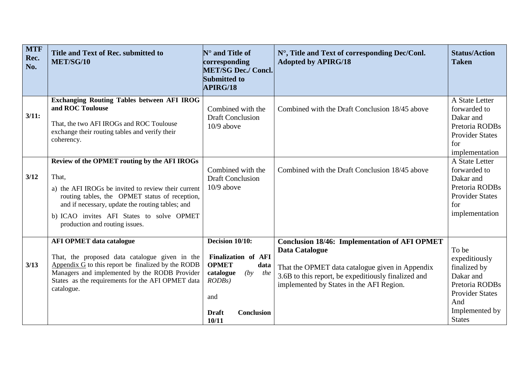| <b>MTF</b><br>Rec.<br>No. | Title and Text of Rec. submitted to<br>MET/SG/10                                                                                                                                                                                                                                                  | $N^{\circ}$ and Title of<br>corresponding<br><b>MET/SG Dec./ Concl.</b><br><b>Submitted to</b><br>APIRG/18                                                   | N°, Title and Text of corresponding Dec/Conl.<br><b>Adopted by APIRG/18</b>                                                                                                                                                         | <b>Status/Action</b><br><b>Taken</b>                                                                                                      |
|---------------------------|---------------------------------------------------------------------------------------------------------------------------------------------------------------------------------------------------------------------------------------------------------------------------------------------------|--------------------------------------------------------------------------------------------------------------------------------------------------------------|-------------------------------------------------------------------------------------------------------------------------------------------------------------------------------------------------------------------------------------|-------------------------------------------------------------------------------------------------------------------------------------------|
| 3/11:                     | <b>Exchanging Routing Tables between AFI IROG</b><br>and ROC Toulouse<br>That, the two AFI IROGs and ROC Toulouse<br>exchange their routing tables and verify their<br>coherency.                                                                                                                 | Combined with the<br><b>Draft Conclusion</b><br>10/9 above                                                                                                   | Combined with the Draft Conclusion 18/45 above                                                                                                                                                                                      | A State Letter<br>forwarded to<br>Dakar and<br>Pretoria RODBs<br><b>Provider States</b><br>for<br>implementation                          |
| 3/12                      | Review of the OPMET routing by the AFI IROGs<br>That,<br>a) the AFI IROGs be invited to review their current<br>routing tables, the OPMET status of reception,<br>and if necessary, update the routing tables; and<br>b) ICAO invites AFI States to solve OPMET<br>production and routing issues. | Combined with the<br><b>Draft Conclusion</b><br>$10/9$ above                                                                                                 | Combined with the Draft Conclusion 18/45 above                                                                                                                                                                                      | A State Letter<br>forwarded to<br>Dakar and<br>Pretoria RODBs<br><b>Provider States</b><br>for<br>implementation                          |
| 3/13                      | <b>AFI OPMET data catalogue</b><br>That, the proposed data catalogue given in the<br>Appendix $G$ to this report be finalized by the RODB<br>Managers and implemented by the RODB Provider<br>States as the requirements for the AFI OPMET data<br>catalogue.                                     | Decision 10/10:<br><b>Finalization of AFI</b><br><b>OPMET</b><br>data<br>(by)<br>catalogue<br>the<br>$RODBs$ )<br>and<br>Conclusion<br><b>Draft</b><br>10/11 | <b>Conclusion 18/46: Implementation of AFI OPMET</b><br><b>Data Catalogue</b><br>That the OPMET data catalogue given in Appendix<br>3.6B to this report, be expeditiously finalized and<br>implemented by States in the AFI Region. | To be<br>expeditiously<br>finalized by<br>Dakar and<br>Pretoria RODBs<br><b>Provider States</b><br>And<br>Implemented by<br><b>States</b> |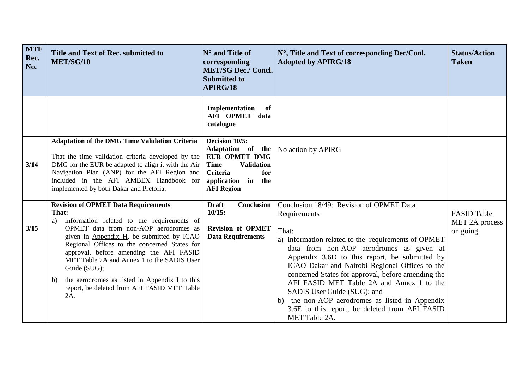| <b>MTF</b><br>Rec.<br>No. | Title and Text of Rec. submitted to<br>MET/SG/10                                                                                                                                                                                                                                                                                                                                                                                                                     | $\mathbb{N}^{\circ}$ and Title of<br>corresponding<br><b>MET/SG Dec./ Concl.</b><br><b>Submitted to</b><br>APIRG/18                                                     | N°, Title and Text of corresponding Dec/Conl.<br><b>Adopted by APIRG/18</b>                                                                                                                                                                                                                                                                                                                                                                                                                                                     | <b>Status/Action</b><br><b>Taken</b>             |
|---------------------------|----------------------------------------------------------------------------------------------------------------------------------------------------------------------------------------------------------------------------------------------------------------------------------------------------------------------------------------------------------------------------------------------------------------------------------------------------------------------|-------------------------------------------------------------------------------------------------------------------------------------------------------------------------|---------------------------------------------------------------------------------------------------------------------------------------------------------------------------------------------------------------------------------------------------------------------------------------------------------------------------------------------------------------------------------------------------------------------------------------------------------------------------------------------------------------------------------|--------------------------------------------------|
|                           |                                                                                                                                                                                                                                                                                                                                                                                                                                                                      | Implementation<br>of<br>AFI OPMET data<br>catalogue                                                                                                                     |                                                                                                                                                                                                                                                                                                                                                                                                                                                                                                                                 |                                                  |
| 3/14                      | <b>Adaptation of the DMG Time Validation Criteria</b><br>That the time validation criteria developed by the<br>DMG for the EUR be adapted to align it with the Air<br>Navigation Plan (ANP) for the AFI Region and<br>included in the AFI AMBEX Handbook for<br>implemented by both Dakar and Pretoria.                                                                                                                                                              | Decision 10/5:<br>Adaptation of the<br><b>EUR OPMET DMG</b><br><b>Time</b><br><b>Validation</b><br><b>Criteria</b><br>for<br>application in<br>the<br><b>AFI Region</b> | No action by APIRG                                                                                                                                                                                                                                                                                                                                                                                                                                                                                                              |                                                  |
| 3/15                      | <b>Revision of OPMET Data Requirements</b><br>That:<br>information related to the requirements of<br>a)<br>OPMET data from non-AOP aerodromes as<br>given in Appendix H, be submitted by ICAO<br>Regional Offices to the concerned States for<br>approval, before amending the AFI FASID<br>MET Table 2A and Annex 1 to the SADIS User<br>Guide (SUG);<br>the aerodromes as listed in Appendix I to this<br>b)<br>report, be deleted from AFI FASID MET Table<br>2A. | <b>Draft</b><br>Conclusion<br>10/15:<br><b>Revision of OPMET</b><br><b>Data Requirements</b>                                                                            | Conclusion 18/49: Revision of OPMET Data<br>Requirements<br>That:<br>a) information related to the requirements of OPMET<br>data from non-AOP aerodromes as given at<br>Appendix 3.6D to this report, be submitted by<br>ICAO Dakar and Nairobi Regional Offices to the<br>concerned States for approval, before amending the<br>AFI FASID MET Table 2A and Annex 1 to the<br>SADIS User Guide (SUG); and<br>b) the non-AOP aerodromes as listed in Appendix<br>3.6E to this report, be deleted from AFI FASID<br>MET Table 2A. | <b>FASID Table</b><br>MET 2A process<br>on going |